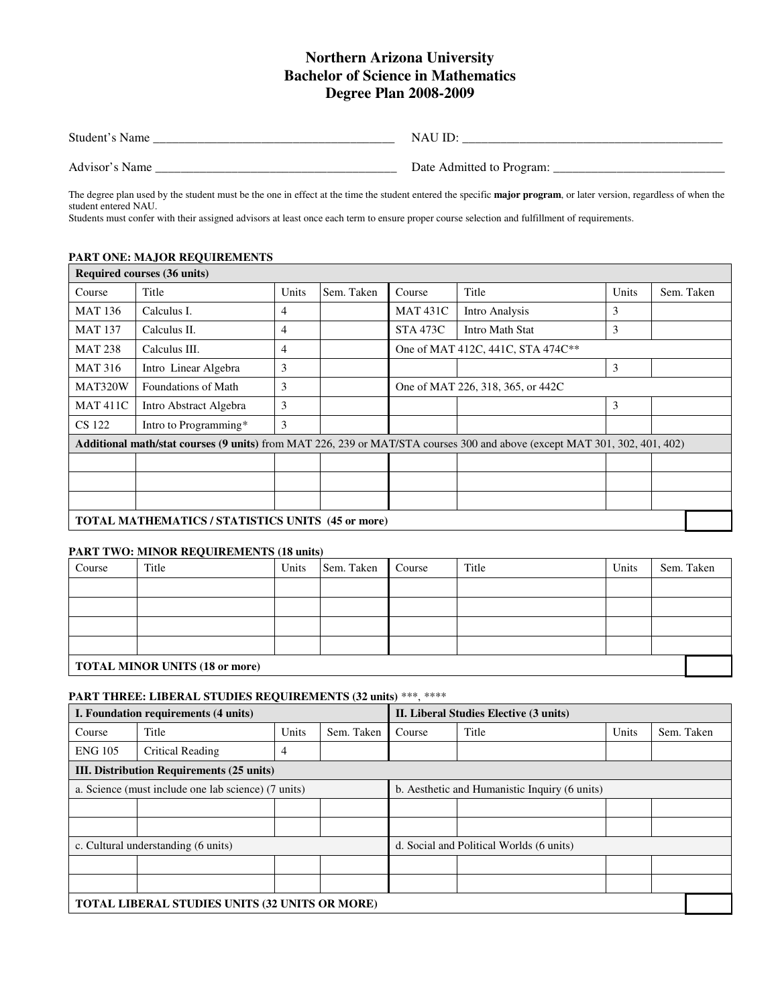# **Northern Arizona University Bachelor of Science in Mathematics Degree Plan 2008-2009**

| Student's Name | 1 Y A U<br>-              |
|----------------|---------------------------|
| Advisor's Name | Date Admitted to Program: |

The degree plan used by the student must be the one in effect at the time the student entered the specific **major program**, or later version, regardless of when the student entered NAU.

Students must confer with their assigned advisors at least once each term to ensure proper course selection and fulfillment of requirements.

#### **PART ONE: MAJOR REQUIREMENTS**

|                                                          | Required courses (36 units) |       |            |                                   |                                                                                                                                  |       |            |  |
|----------------------------------------------------------|-----------------------------|-------|------------|-----------------------------------|----------------------------------------------------------------------------------------------------------------------------------|-------|------------|--|
| Course                                                   | Title                       | Units | Sem. Taken | Course                            | Title                                                                                                                            | Units | Sem. Taken |  |
| <b>MAT 136</b>                                           | Calculus I.                 | 4     |            | <b>MAT 431C</b>                   | Intro Analysis                                                                                                                   | 3     |            |  |
| <b>MAT 137</b>                                           | Calculus II.                | 4     |            | <b>STA 473C</b>                   | Intro Math Stat                                                                                                                  | 3     |            |  |
| <b>MAT 238</b>                                           | Calculus III.               | 4     |            |                                   | One of MAT 412C, 441C, STA 474C**                                                                                                |       |            |  |
| <b>MAT 316</b>                                           | Intro Linear Algebra        | 3     |            |                                   |                                                                                                                                  | 3     |            |  |
| MAT320W                                                  | Foundations of Math         | 3     |            | One of MAT 226, 318, 365, or 442C |                                                                                                                                  |       |            |  |
| <b>MAT 411C</b>                                          | Intro Abstract Algebra      | 3     |            |                                   |                                                                                                                                  | 3     |            |  |
| CS 122                                                   | Intro to Programming*       | 3     |            |                                   |                                                                                                                                  |       |            |  |
|                                                          |                             |       |            |                                   | <b>Additional math/stat courses (9 units)</b> from MAT 226, 239 or MAT/STA courses 300 and above (except MAT 301, 302, 401, 402) |       |            |  |
|                                                          |                             |       |            |                                   |                                                                                                                                  |       |            |  |
|                                                          |                             |       |            |                                   |                                                                                                                                  |       |            |  |
|                                                          |                             |       |            |                                   |                                                                                                                                  |       |            |  |
| <b>TOTAL MATHEMATICS / STATISTICS UNITS (45 or more)</b> |                             |       |            |                                   |                                                                                                                                  |       |            |  |

#### **PART TWO: MINOR REQUIREMENTS (18 units)**

| Course                                | Title | Units | Sem. Taken | Course | Title | Units | Sem. Taken |
|---------------------------------------|-------|-------|------------|--------|-------|-------|------------|
|                                       |       |       |            |        |       |       |            |
|                                       |       |       |            |        |       |       |            |
|                                       |       |       |            |        |       |       |            |
|                                       |       |       |            |        |       |       |            |
| <b>TOTAL MINOR UNITS (18 or more)</b> |       |       |            |        |       |       |            |

## **PART THREE: LIBERAL STUDIES REQUIREMENTS (32 units)** \*\*\*, \*\*\*\*

| I. Foundation requirements (4 units)             |                                                       |                                          | II. Liberal Studies Elective (3 units) |        |                                               |       |            |
|--------------------------------------------------|-------------------------------------------------------|------------------------------------------|----------------------------------------|--------|-----------------------------------------------|-------|------------|
| Course                                           | Title                                                 | Units                                    | Sem. Taken                             | Course | Title                                         | Units | Sem. Taken |
| <b>ENG 105</b>                                   | Critical Reading                                      | 4                                        |                                        |        |                                               |       |            |
| <b>III.</b> Distribution Requirements (25 units) |                                                       |                                          |                                        |        |                                               |       |            |
|                                                  | a. Science (must include one lab science) (7 units)   |                                          |                                        |        | b. Aesthetic and Humanistic Inquiry (6 units) |       |            |
|                                                  |                                                       |                                          |                                        |        |                                               |       |            |
|                                                  |                                                       |                                          |                                        |        |                                               |       |            |
| c. Cultural understanding (6 units)              |                                                       | d. Social and Political Worlds (6 units) |                                        |        |                                               |       |            |
|                                                  |                                                       |                                          |                                        |        |                                               |       |            |
|                                                  |                                                       |                                          |                                        |        |                                               |       |            |
|                                                  | <b>TOTAL LIBERAL STUDIES UNITS (32 UNITS OR MORE)</b> |                                          |                                        |        |                                               |       |            |